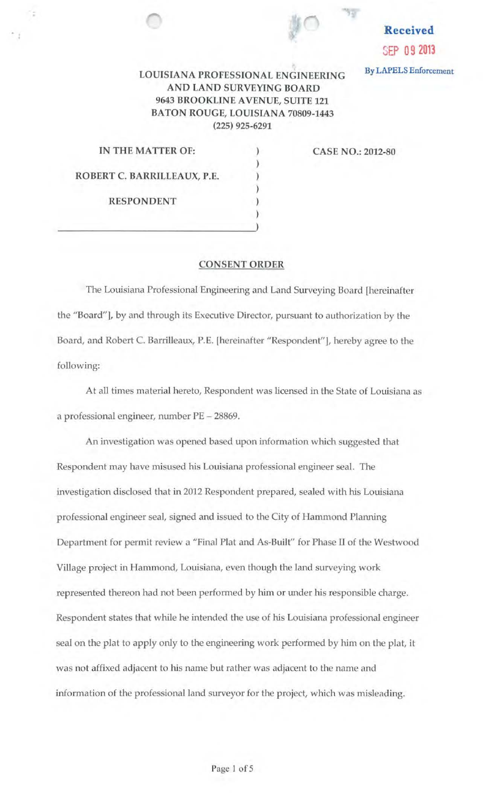

## **Received**  SEP 09 **<sup>2013</sup>**

By LAPELS Enforcement

## LOUISIANA PROFESSIONAL ENGINEERING AND LAND SURVEYING BOARD 9643 BROOKLINE A VENUE, SUITE 121 BATON ROUGE, LOUISIANA 70809-1443 (225) 925-6291

) ) ) ) ) )

| IN THE MATTER OF:           |  |
|-----------------------------|--|
| ROBERT C. BARRILLEAUX, P.E. |  |
| <b>RESPONDENT</b>           |  |
|                             |  |

CASE NO.: 2012-80

## CONSENT ORDER

The Louisiana Professional Engineering and Land Surveying Board [hereinafter the "Board"], by and through its Executive Director, pursuant to authorization by the Board, and Robert C. Barrilleaux, P.E. [hereinafter "Respondent"], hereby agree to the following:

At all times material hereto, Respondent was licensed in the State of Louisiana as a professional engineer, number PE - 28869.

An investigation was opened based upon information which suggested that Respondent may have misused his Louisiana professional engineer seal. The investigation disclosed that in 2012 Respondent prepared, sealed with his Louisiana professional engineer seal, signed and issued to the City of Hammond Planning Department for permit review a "Final Plat and As-Built" for Phase II of the Westwood Village project in Hammond, Louisiana, even though the land surveying work represented thereon had not been performed by him or under his responsible charge. Respondent states that while he intended the use of *his* Louisiana professional engineer seal on the plat to apply only to the engineering work performed by him on the plat, it was not affixed adjacent to his name but rather was adjacent to the name and information of the professional land surveyor for the project, which was misleading.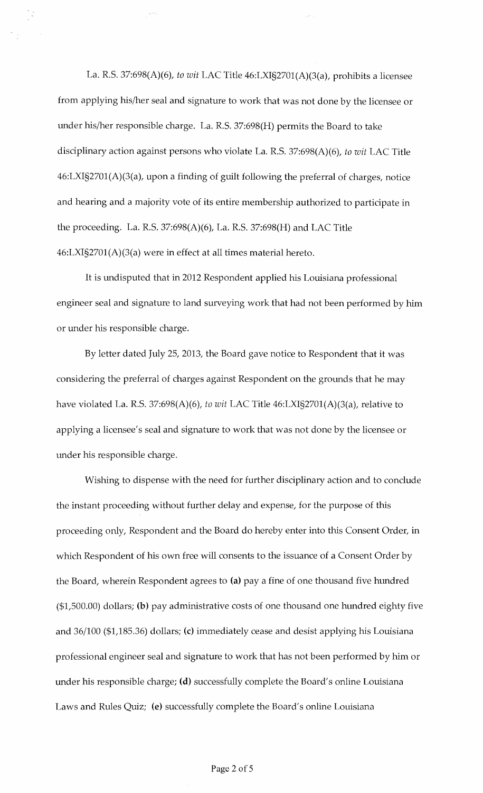La. R.S. 37:698(A)(6), *to wit* LAC Title 46:LXI§2701(A)(3(a), prohibits a licensee from applying his/her seal and signature to work that was not done by the licensee or under his/her responsible charge. La. R.S. 37:698(H) permits the Board to take disciplinary action against persons who violate La. R.S. 37:698(A)(6), *to wit* LAC Title 46:LXI§2701(A)(3(a), upon a finding of guilt following the preferral of charges, notice and hearing and a majority vote of its entire membership authorized to participate in the proceeding. La. R.S. 37:698(A)(6), La. R.S. 37:698(H) and LAC Title 46:LXI§2701(A)(3(a) were in effect at all times material hereto.

It is undisputed that in 2012 Respondent applied his Louisiana professional engineer seal and signature to land surveying work that had not been performed by him or under his responsible charge.

By letter dated July 25, 2013, the Board gave notice to Respondent that it was considering the preferral of charges against Respondent on the grounds that he may have violated La. R.S. 37:698(A)(6), *to wit* LAC Title 46:LXI§2701(A)(3(a), relative to applying a licensee's seal and signature to work that was not done by the licensee or under his responsible charge.

Wishing to dispense with the need for further disciplinary action and to conclude the instant proceeding without further delay and expense, for the purpose of this proceeding only, Respondent and the Board do hereby enter into this Consent Order, in which Respondent of his own free will consents to the issuance of a Consent Order by the Board, wherein Respondent agrees to (a) pay a fine of one thousand five hundred (\$1,500.00) dollars; (b) pay administrative costs of one thousand one hundred eighty five and 36/100 (\$1,185.36) dollars; (c) immediately cease and desist applying his Louisiana professional engineer seal and signature to work that has not been performed by him or under his responsible charge; (d) successfully complete the Board's online Louisiana Laws and Rules Quiz; (e) successfully complete the Board's online Louisiana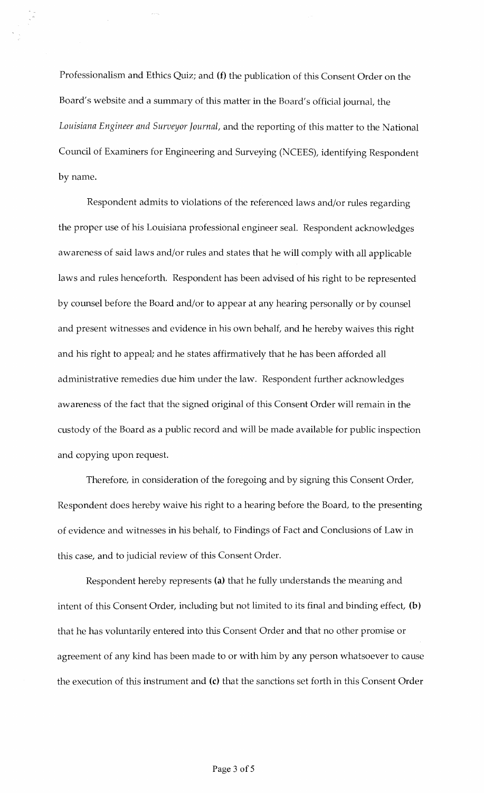Professionalism and Ethics Quiz; and (f) the publication of this Consent Order on the Board's website and a summary of this matter in the Board's official journal, the *Louisiana Engineer and Surveyor Journal,* and the reporting of this matter to the National Council of Examiners for Engineering and Surveying (NCEES), identifying Respondent by name.

Respondent admits to violations of the referenced laws and/or rules regarding the proper use of his Louisiana professional engineer seal. Respondent acknowledges awareness of said laws and/or rules and states that he will comply with all applicable laws and rules henceforth. Respondent has been advised of his right to be represented by counsel before the Board and/or to appear at any hearing personally or by counsel and present witnesses and evidence in his own behalf, and he hereby waives this right and his right to appeal; and he states affirmatively that he has been afforded all administrative remedies due him under the law. Respondent further acknowledges awareness of the fact that the signed original of this Consent Order will remain in the custody of the Board as a public record and will be made available for public inspection and copying upon request.

Therefore, in consideration of the foregoing and by signing this Consent Order, Respondent does hereby waive his right to a hearing before the Board, to the presenting of evidence and witnesses in his behalf, to Findings of Fact and Conclusions of Law in this case, and to judicial review of this Consent Order.

Respondent hereby represents (a) that he fully understands the meaning and intent of this Consent Order, including but not limited to its final and binding effect, (b) that he has voluntarily entered into this Consent Order and that no other promise or agreement of any kind has been made to or with him by any person whatsoever to cause the execution of this instrument and (c) that the sanctions set forth in this Consent Order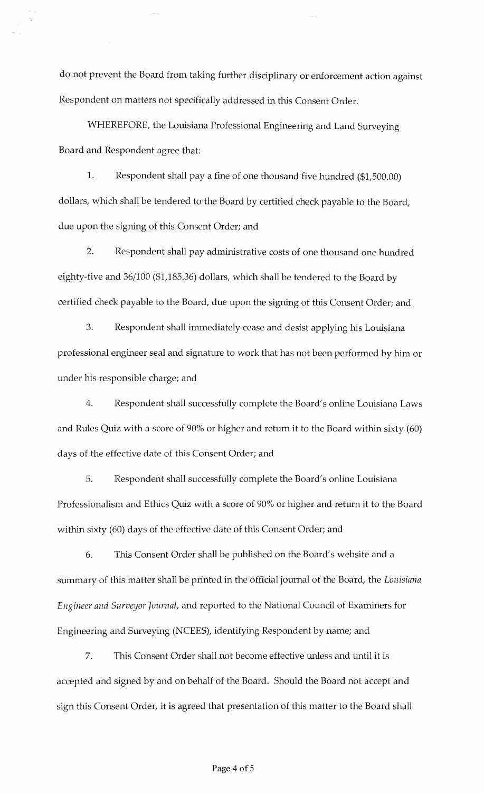do not prevent the Board from taking further disciplinary or enforcement action against Respondent on matters not specifically addressed in this Consent Order.

WHEREFORE, the Louisiana Professional Engineering and Land Surveying Board and Respondent agree that:

1. Respondent shall pay a fine of one thousand five hundred (\$1,500.00) dollars, which shall be tendered to the Board by certified check payable to the Board, due upon the signing of this Consent Order; and

2. Respondent shall pay administrative costs of one thousand one hundred eighty-five and 36/100 (\$1,185.36) dollars, which shall be tendered to the Board by certified check payable to the Board, due upon the signing of this Consent Order; and

3. Respondent shall immediately cease and desist applying his Louisiana professional engineer seal and signature to work that has not been performed by him or under his responsible charge; and

4. Respondent shall successfully complete the Board's online Louisiana Laws and Rules Quiz with a score of 90% or higher and return it to the Board within sixty (60) days of the effective date of this Consent Order; and

5. Respondent shall successfully complete the Board's online Louisiana Professionalism and Ethics Quiz with a score of 90% or higher and return it to the Board within sixty (60) days of the effective date of this Consent Order; and

6. This Consent Order shall be published on the Board's website and a summary of this matter shall be printed in the official journal of the Board, the *Louisiana Engineer and Surveyor Journal,* and reported to the National Council of Examiners for Engineering and Surveying (NCEES), identifying Respondent by name; and

7. This Consent Order shall not become effective unless and until it is accepted and signed by and on behalf of the Board. Should the Board not accept and sign this Consent Order, it is agreed that presentation of this matter to the Board shall